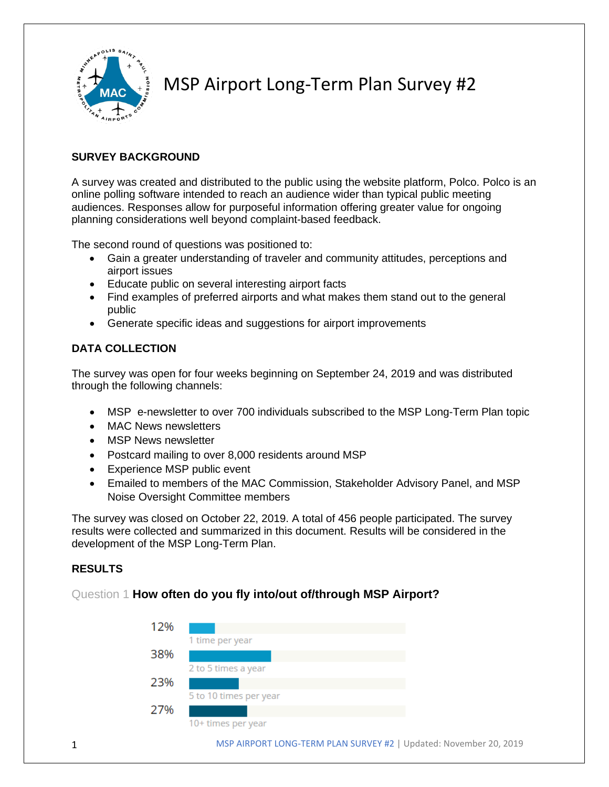

MSP Airport Long-Term Plan Survey #2

## **SURVEY BACKGROUND**

A survey was created and distributed to the public using the website platform, Polco. Polco is an online polling software intended to reach an audience wider than typical public meeting audiences. Responses allow for purposeful information offering greater value for ongoing planning considerations well beyond complaint-based feedback.

The second round of questions was positioned to:

- Gain a greater understanding of traveler and community attitudes, perceptions and airport issues
- Educate public on several interesting airport facts
- Find examples of preferred airports and what makes them stand out to the general public
- Generate specific ideas and suggestions for airport improvements

## **DATA COLLECTION**

The survey was open for four weeks beginning on September 24, 2019 and was distributed through the following channels:

- MSP e-newsletter to over 700 individuals subscribed to the MSP Long-Term Plan topic
- MAC News newsletters
- MSP News newsletter
- Postcard mailing to over 8,000 residents around MSP
- Experience MSP public event
- Emailed to members of the MAC Commission, Stakeholder Advisory Panel, and MSP Noise Oversight Committee members

The survey was closed on October 22, 2019. A total of 456 people participated. The survey results were collected and summarized in this document. Results will be considered in the development of the MSP Long-Term Plan.

## **RESULTS**

## Question 1 **How often do you fly into/out of/through MSP Airport?**

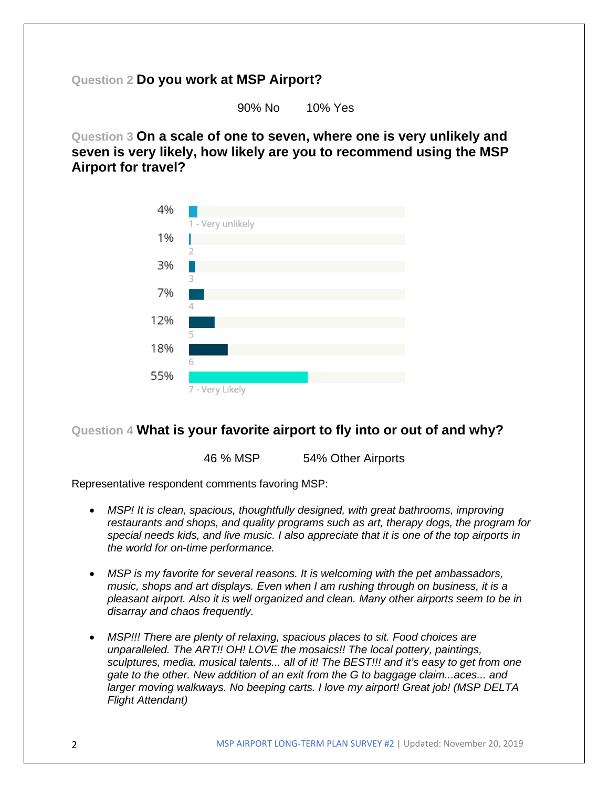## **Question 2 Do you work at MSP Airport?**

90% No 10% Yes

**Question 3 On a scale of one to seven, where one is very unlikely and seven is very likely, how likely are you to recommend using the MSP Airport for travel?**



## **Question 4 What is your favorite airport to fly into or out of and why?**

46 % MSP 54% Other Airports

Representative respondent comments favoring MSP:

- MSP! It is clean, spacious, thoughtfully designed, with great bathrooms, improving *restaurants and shops, and quality programs such as art, therapy dogs, the program for special needs kids, and live music. I also appreciate that it is one of the top airports in the world for on-time performance.*
- *MSP is my favorite for several reasons. It is welcoming with the pet ambassadors, music, shops and art displays. Even when I am rushing through on business, it is a pleasant airport. Also it is well organized and clean. Many other airports seem to be in disarray and chaos frequently.*
- *MSP!!! There are plenty of relaxing, spacious places to sit. Food choices are unparalleled. The ART!! OH! LOVE the mosaics!! The local pottery, paintings, sculptures, media, musical talents... all of it! The BEST!!! and it's easy to get from one gate to the other. New addition of an exit from the G to baggage claim...aces... and larger moving walkways. No beeping carts. I love my airport! Great job! (MSP DELTA Flight Attendant)*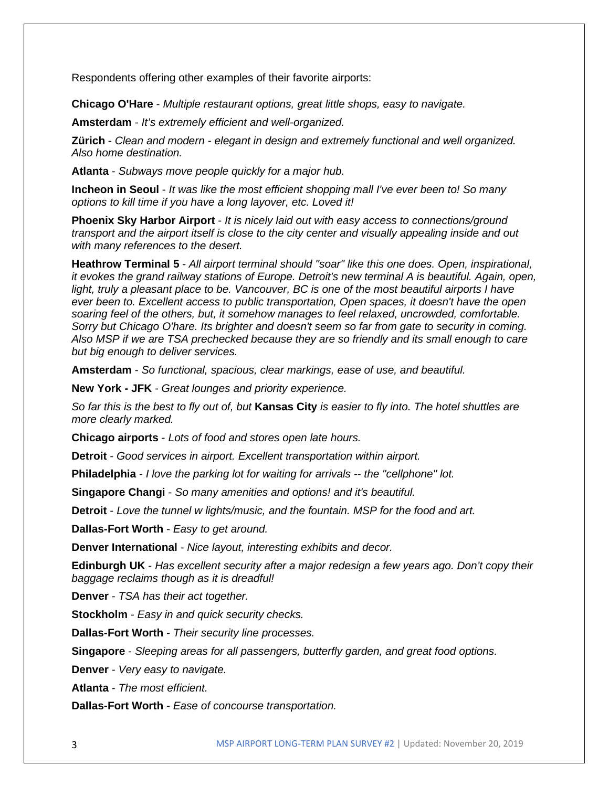Respondents offering other examples of their favorite airports:

**Chicago O'Hare** - *Multiple restaurant options, great little shops, easy to navigate.*

**Amsterdam** - *It's extremely efficient and well-organized.*

**Zürich** - *Clean and modern - elegant in design and extremely functional and well organized. Also home destination.*

**Atlanta** - *Subways move people quickly for a major hub.*

**Incheon in Seoul** - *It was like the most efficient shopping mall I've ever been to! So many options to kill time if you have a long layover, etc. Loved it!*

**Phoenix Sky Harbor Airport** - *It is nicely laid out with easy access to connections/ground transport and the airport itself is close to the city center and visually appealing inside and out with many references to the desert.*

**Heathrow Terminal 5** - *All airport terminal should "soar" like this one does. Open, inspirational, it evokes the grand railway stations of Europe. Detroit's new terminal A is beautiful. Again, open, light, truly a pleasant place to be. Vancouver, BC is one of the most beautiful airports I have ever been to. Excellent access to public transportation, Open spaces, it doesn't have the open soaring feel of the others, but, it somehow manages to feel relaxed, uncrowded, comfortable. Sorry but Chicago O'hare. Its brighter and doesn't seem so far from gate to security in coming. Also MSP if we are TSA prechecked because they are so friendly and its small enough to care but big enough to deliver services.*

**Amsterdam** - *So functional, spacious, clear markings, ease of use, and beautiful.*

**New York - JFK** - *Great lounges and priority experience.*

*So far this is the best to fly out of, but* **Kansas City** *is easier to fly into. The hotel shuttles are more clearly marked.*

**Chicago airports** - *Lots of food and stores open late hours.*

**Detroit** - *Good services in airport. Excellent transportation within airport.*

**Philadelphia** - *I love the parking lot for waiting for arrivals -- the "cellphone" lot.*

**Singapore Changi** - *So many amenities and options! and it's beautiful.*

**Detroit** - *Love the tunnel w lights/music, and the fountain. MSP for the food and art.*

**Dallas-Fort Worth** - *Easy to get around.*

**Denver International** - *Nice layout, interesting exhibits and decor.*

**Edinburgh UK** - *Has excellent security after a major redesign a few years ago. Don't copy their baggage reclaims though as it is dreadful!*

**Denver** - *TSA has their act together.*

**Stockholm** - *Easy in and quick security checks.*

**Dallas-Fort Worth** - *Their security line processes.*

**Singapore** - *Sleeping areas for all passengers, butterfly garden, and great food options.*

**Denver** - *Very easy to navigate.*

**Atlanta** - *The most efficient.*

**Dallas-Fort Worth** - *Ease of concourse transportation.*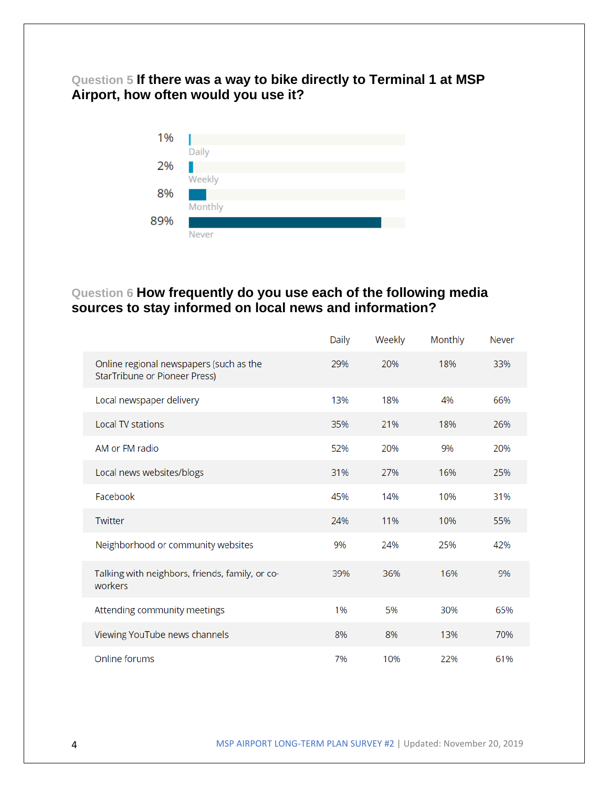**Question 5 If there was a way to bike directly to Terminal 1 at MSP Airport, how often would you use it?**



# **Question 6 How frequently do you use each of the following media sources to stay informed on local news and information?**

|                                                                          | Daily | Weekly | Monthly | <b>Never</b> |
|--------------------------------------------------------------------------|-------|--------|---------|--------------|
| Online regional newspapers (such as the<br>StarTribune or Pioneer Press) | 29%   | 20%    | 18%     | 33%          |
| Local newspaper delivery                                                 | 13%   | 18%    | 4%      | 66%          |
| <b>Local TV stations</b>                                                 | 35%   | 21%    | 18%     | 26%          |
| AM or FM radio                                                           | 52%   | 20%    | 9%      | 20%          |
| Local news websites/blogs                                                | 31%   | 27%    | 16%     | 25%          |
| Facebook                                                                 | 45%   | 14%    | 10%     | 31%          |
| Twitter                                                                  | 24%   | 11%    | 10%     | 55%          |
| Neighborhood or community websites                                       | 9%    | 24%    | 25%     | 42%          |
| Talking with neighbors, friends, family, or co-<br>workers               | 39%   | 36%    | 16%     | 9%           |
| Attending community meetings                                             | 1%    | 5%     | 30%     | 65%          |
| Viewing YouTube news channels                                            | 8%    | 8%     | 13%     | 70%          |
| Online forums                                                            | 7%    | 10%    | 22%     | 61%          |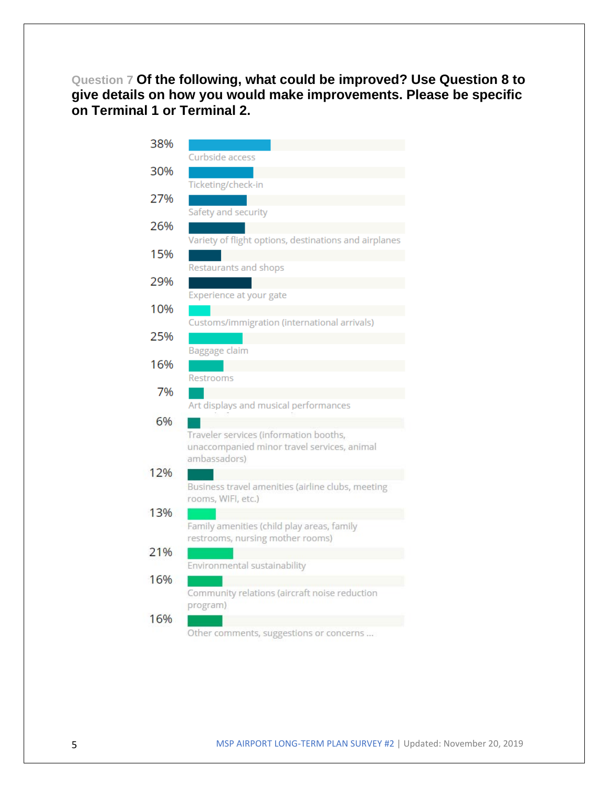**Question 7 Of the following, what could be improved? Use Question 8 to give details on how you would make improvements. Please be specific on Terminal 1 or Terminal 2.**

| 38% |                                                                                       |
|-----|---------------------------------------------------------------------------------------|
|     | Curbside access                                                                       |
| 30% |                                                                                       |
|     | Ticketing/check-in                                                                    |
| 27% |                                                                                       |
|     | Safety and security                                                                   |
| 26% | Variety of flight options, destinations and airplanes                                 |
| 15% |                                                                                       |
|     | Restaurants and shops                                                                 |
| 29% |                                                                                       |
|     | Experience at your gate                                                               |
| 10% | Customs/immigration (international arrivals)                                          |
| 25% |                                                                                       |
|     | Baggage claim                                                                         |
| 16% |                                                                                       |
|     | Restrooms                                                                             |
| 7%  |                                                                                       |
|     | Art displays and musical performances                                                 |
| 6%  |                                                                                       |
|     | Traveler services (information booths,<br>unaccompanied minor travel services, animal |
|     | ambassadors)                                                                          |
| 12% |                                                                                       |
|     | Business travel amenities (airline clubs, meeting                                     |
|     | rooms, WIFI, etc.)                                                                    |
| 13% |                                                                                       |
|     | Family amenities (child play areas, family<br>restrooms, nursing mother rooms)        |
| 21% |                                                                                       |
|     | Environmental sustainability                                                          |
| 16% |                                                                                       |
|     | Community relations (aircraft noise reduction                                         |
|     | program)                                                                              |
| 16% |                                                                                       |

Other comments, suggestions or concerns ...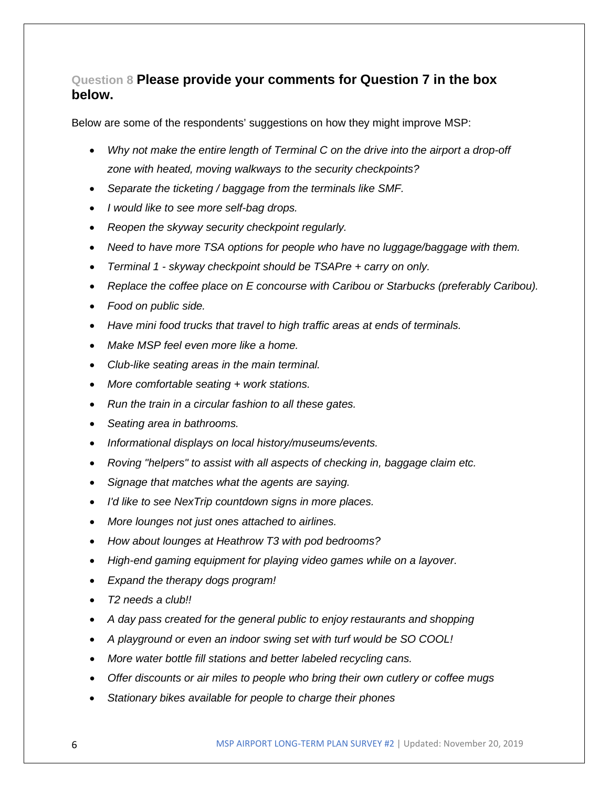## **Question 8 Please provide your comments for Question 7 in the box below.**

Below are some of the respondents' suggestions on how they might improve MSP:

- *Why not make the entire length of Terminal C on the drive into the airport a drop-off zone with heated, moving walkways to the security checkpoints?*
- *Separate the ticketing / baggage from the terminals like SMF.*
- *I would like to see more self-bag drops.*
- *Reopen the skyway security checkpoint regularly.*
- *Need to have more TSA options for people who have no luggage/baggage with them.*
- *Terminal 1 - skyway checkpoint should be TSAPre + carry on only.*
- *Replace the coffee place on E concourse with Caribou or Starbucks (preferably Caribou).*
- *Food on public side.*
- *Have mini food trucks that travel to high traffic areas at ends of terminals.*
- *Make MSP feel even more like a home.*
- *Club-like seating areas in the main terminal.*
- *More comfortable seating + work stations.*
- *Run the train in a circular fashion to all these gates.*
- *Seating area in bathrooms.*
- *Informational displays on local history/museums/events.*
- *Roving "helpers" to assist with all aspects of checking in, baggage claim etc.*
- *Signage that matches what the agents are saying.*
- *I'd like to see NexTrip countdown signs in more places.*
- *More lounges not just ones attached to airlines.*
- *How about lounges at Heathrow T3 with pod bedrooms?*
- *High-end gaming equipment for playing video games while on a layover.*
- *Expand the therapy dogs program!*
- *T2 needs a club!!*
- *A day pass created for the general public to enjoy restaurants and shopping*
- *A playground or even an indoor swing set with turf would be SO COOL!*
- *More water bottle fill stations and better labeled recycling cans.*
- *Offer discounts or air miles to people who bring their own cutlery or coffee mugs*
- *Stationary bikes available for people to charge their phones*